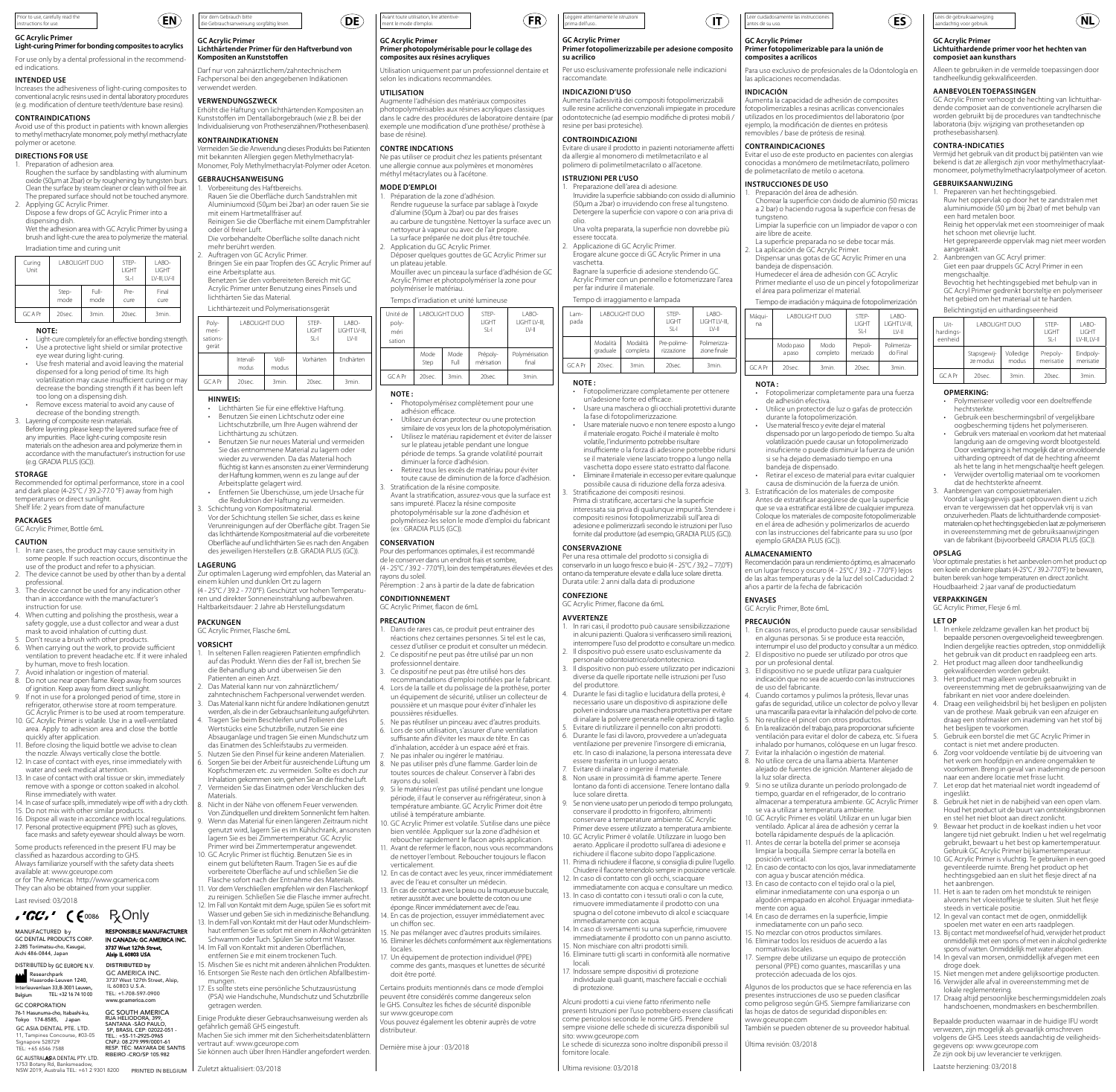| instructions for use.                                                                                                                                                                                                                                                                                                                                                                                                                                 | Prior to use, carefully read the |               |              | EN)                                                                                                                           | Vor dem Gebrauch bitte                                                                                                                                                                                                                                                                                                                                                 | die Gebrauchsanweisung sorgfältig lesen |                   |                                                  | DE)                                                                                                                                                                                                                                                                                                                                                              | Avant toute utilisation, lire attentive-<br>ment le mode d'emploi. |                                                                                                                                                                              |                                                                   |                                                                                                                                                                                                                                                     | [FR]                                                                                                            | prima dell'uso | Leggere attentamente le istruzioni               |                |
|-------------------------------------------------------------------------------------------------------------------------------------------------------------------------------------------------------------------------------------------------------------------------------------------------------------------------------------------------------------------------------------------------------------------------------------------------------|----------------------------------|---------------|--------------|-------------------------------------------------------------------------------------------------------------------------------|------------------------------------------------------------------------------------------------------------------------------------------------------------------------------------------------------------------------------------------------------------------------------------------------------------------------------------------------------------------------|-----------------------------------------|-------------------|--------------------------------------------------|------------------------------------------------------------------------------------------------------------------------------------------------------------------------------------------------------------------------------------------------------------------------------------------------------------------------------------------------------------------|--------------------------------------------------------------------|------------------------------------------------------------------------------------------------------------------------------------------------------------------------------|-------------------------------------------------------------------|-----------------------------------------------------------------------------------------------------------------------------------------------------------------------------------------------------------------------------------------------------|-----------------------------------------------------------------------------------------------------------------|----------------|--------------------------------------------------|----------------|
| <b>GC Acrylic Primer</b><br>Light-curing Primer for bonding composites to acrylics<br>For use only by a dental professional in the recommend-                                                                                                                                                                                                                                                                                                         |                                  |               |              |                                                                                                                               | <b>GC Acrylic Primer</b><br>Lichthärtender Primer für den Haftverbund von<br>Kompositen an Kunststoffen                                                                                                                                                                                                                                                                |                                         |                   |                                                  | <b>GC Acrylic Primer</b><br>Primer photopolymérisable pour le collage des<br>composites aux résines acryliques                                                                                                                                                                                                                                                   |                                                                    |                                                                                                                                                                              | <b>GC Acrylic Primer</b><br>Primer fotopolimerizza<br>su acrilico |                                                                                                                                                                                                                                                     |                                                                                                                 |                |                                                  |                |
| ed indications.<br><b>INTENDED USE</b>                                                                                                                                                                                                                                                                                                                                                                                                                |                                  |               |              |                                                                                                                               | Darf nur von zahnärztlichem/zahntechnischem<br>Fachpersonal bei den angegebenen Indikationen                                                                                                                                                                                                                                                                           |                                         |                   |                                                  | Utilisation uniquement par un professionnel dentaire et<br>selon les indications recommandées.                                                                                                                                                                                                                                                                   |                                                                    |                                                                                                                                                                              |                                                                   |                                                                                                                                                                                                                                                     | Per uso esclusivamente p<br>raccomandate.                                                                       |                |                                                  |                |
| Increases the adhesiveness of light-curing composites to<br>conventional acrylic resins used in dental laboratory procedures<br>(e.g. modification of denture teeth/denture base resins).<br><b>CONTRAINDICATIONS</b><br>Avoid use of this product in patients with known allergies<br>to methyl methacrylate monomer, poly methyl methacrylate                                                                                                       |                                  |               |              |                                                                                                                               | verwendet werden.<br>VERWENDUNGSZWECK<br>Erhöht die Haftung von lichthärtenden Kompositen an<br>Kunststoffen im Dentallaborgebrauch (wie z.B. bei der<br>Individualisierung von Prothesenzähnen/Prothesenbasen).                                                                                                                                                       |                                         |                   |                                                  | <b>UTILISATION</b><br>Augmente l'adhésion des matériaux composites<br>photopolymérisables aux résines acryliques classiques<br>dans le cadre des procédures de laboratoire dentaire (par<br>exemple une modification d'une prothèse/ prothèse à<br>base de résine).                                                                                              |                                                                    |                                                                                                                                                                              |                                                                   | <b>INDICAZIONI D'USO</b><br>Aumenta l'adesività dei c<br>sulle resine acriliche conve<br>odontotecniche (ad esem<br>resine per basi protesiche                                                                                                      |                                                                                                                 |                |                                                  |                |
| polymer or acetone.<br><b>DIRECTIONS FOR USE</b><br>1. Preparation of adhesion area.<br>Roughen the surface by sandblasting with aluminum                                                                                                                                                                                                                                                                                                             |                                  |               |              |                                                                                                                               |                                                                                                                                                                                                                                                                                                                                                                        | <b>KONTRAINDIKATIONEN</b>               |                   | mit bekannten Allergien gegen Methylmethacrylat- | Vermeiden Sie die Anwendung dieses Produkts bei Patienten<br>Monomer, Poly Methylmethacrylat-Polymer oder Aceton.                                                                                                                                                                                                                                                |                                                                    | <b>CONTRE INDCATIONS</b><br>Ne pas utiliser ce produit chez les patients présentant<br>une allergie connue aux polymères et monomères<br>méthyl métacrylates ou à l'acétone. |                                                                   |                                                                                                                                                                                                                                                     | <b>CONTROINDICAZIONI</b><br>Evitare di usare il prodotto<br>da allergie al monomero<br>polimero di polimetilmet |                |                                                  |                |
| oxide (50um at 2bar) or by roughening by tungsten burs.<br>Clean the surface by steam cleaner or clean with oil free air.<br>The prepared surface should not be touched anymore.<br>2. Applying GC Acrylic Primer.<br>Dispose a few drops of GC Acrylic Primer into a<br>dispensing dish.<br>Wet the adhesion area with GC Acrylic Primer by using a<br>brush and light-cure the area to polymerize the material.<br>Irradiation time and curing unit |                                  |               |              |                                                                                                                               | <b>GEBRAUCHSANWEISUNG</b><br>1. Vorbereitung des Haftbereichs.<br>Rauen Sie die Oberfläche durch Sandstrahlen mit<br>Aluminiumoxid (50µm bei 2bar) an oder rauen Sie sie<br>mit einem Hartmetallfräser auf.<br>Reinigen Sie die Oberfläche mit einem Dampfstrahler<br>oder öl freier Luft.<br>Die vorbehandelte Oberfläche sollte danach nicht<br>mehr berührt werden. |                                         |                   |                                                  | <b>MODE D'EMPLOI</b><br>1. Préparation de la zone d'adhésion.<br>Rendre rugueuse la surface par sablage à l'oxyde<br>d'alumine (50µm à 2bar) ou par des fraises<br>au carbure de tungstène. Nettoyer la surface avec un<br>nettoyeur à vapeur ou avec de l'air propre.<br>La surface préparée ne doit plus être touchée.<br>2. Application du GC Acrylic Primer. |                                                                    |                                                                                                                                                                              |                                                                   | <b>ISTRUZIONI PER L'USO</b><br>1. Preparazione dell'area<br>Irruvidire la superficie s<br>(50µm a 2bar) o irruvi<br>Detergere la superfici<br>olio.<br>Una volta preparata, l<br>essere toccata.<br>2. Applicazione di GC A<br>Erogare alcune gocce |                                                                                                                 |                |                                                  |                |
| <b>LABOLIGHT DUO</b><br>STEP-<br>LABO-<br>Curing<br>LIGHT<br>LIGHT<br>Unit<br>$SL-1$<br>LV-III. LV-II                                                                                                                                                                                                                                                                                                                                                 |                                  |               |              |                                                                                                                               | 2. Auftragen von GC Acrylic Primer.<br>Bringen Sie ein paar Tropfen des GC Acrylic Primer auf<br>eine Arbeitsplatte aus.<br>Benetzen Sie den vorbereiteten Bereich mit GC<br>Acrylic Primer unter Benutzung eines Pinsels und                                                                                                                                          |                                         |                   |                                                  | Déposer quelques gouttes de GC Acrylic Primer sur<br>un plateau jetable.<br>Mouiller avec un pinceau la surface d'adhésion de GC<br>Acrylic Primer et photopolymériser la zone pour                                                                                                                                                                              |                                                                    |                                                                                                                                                                              |                                                                   | vaschetta.<br>Bagnare la superficie<br>Acrylic Primer con un                                                                                                                                                                                        |                                                                                                                 |                |                                                  |                |
|                                                                                                                                                                                                                                                                                                                                                                                                                                                       | Step-<br>mode                    | Full-<br>mode | Pre-<br>cure | Final<br>cure                                                                                                                 |                                                                                                                                                                                                                                                                                                                                                                        | lichthärten Sie das Material.           |                   |                                                  |                                                                                                                                                                                                                                                                                                                                                                  |                                                                    | polymériser le matériau.                                                                                                                                                     |                                                                   | Temps d'irradiation et unité lumineuse                                                                                                                                                                                                              |                                                                                                                 |                | per far indurire il mate<br>Tempo di irraggiamer |                |
| <b>GCAPr</b><br>20sec.<br>3min.<br>20sec.<br>3min.                                                                                                                                                                                                                                                                                                                                                                                                    |                                  |               |              | Lichthärtezeit und Polymerisationsgerät<br><b>LABOLIGHT DUO</b><br>LABO-<br>Poly-<br>STEP-<br>LIGHT<br>LIGHT LV-III,<br>meri- |                                                                                                                                                                                                                                                                                                                                                                        |                                         | Unité de<br>poly- |                                                  | LABOLIGHT DUO                                                                                                                                                                                                                                                                                                                                                    | STEP-<br>LIGHT<br>$SL-1$                                           | I ABO-<br>LIGHT LV-III.<br>$LV-H$                                                                                                                                            | Lam-<br>pada                                                      | <b>LABOLIGHT DU</b>                                                                                                                                                                                                                                 |                                                                                                                 |                |                                                  |                |
| <b>NOTE:</b><br>Light-cure completely for an effective bonding strength.<br>Use a protective light shield or similar protective                                                                                                                                                                                                                                                                                                                       |                                  |               |              |                                                                                                                               | sations-<br>gerät                                                                                                                                                                                                                                                                                                                                                      |                                         |                   | $S$ -l                                           | $ V-I $                                                                                                                                                                                                                                                                                                                                                          | méri<br>sation                                                     |                                                                                                                                                                              |                                                                   |                                                                                                                                                                                                                                                     |                                                                                                                 |                | Modalità<br>graduale                             | Mod<br>com     |
|                                                                                                                                                                                                                                                                                                                                                                                                                                                       | eye wear during light-curing.    |               |              | Use fresh material and avoid leaving the material                                                                             |                                                                                                                                                                                                                                                                                                                                                                        | Intervall-<br>modus                     | Voll-<br>modus    | Vorhärten                                        | Endhärten                                                                                                                                                                                                                                                                                                                                                        |                                                                    | Mode<br>Step                                                                                                                                                                 | Mode<br>Full                                                      | Prépoly-<br>mérisation                                                                                                                                                                                                                              | Polymérisation<br>final                                                                                         | GC A Pr        | 20sec.                                           | 3 <sub>m</sub> |
| dispensed for a long period of time. Its high<br>volatilization may cause insufficient curing or may<br>docrazes the bonding strength if it has been left.                                                                                                                                                                                                                                                                                            |                                  |               |              |                                                                                                                               | <b>GCAPr</b>                                                                                                                                                                                                                                                                                                                                                           | 20sec.                                  | 3min.             | 20sec.                                           | 3min.                                                                                                                                                                                                                                                                                                                                                            | <b>GCAPr</b>                                                       | 20sec.                                                                                                                                                                       | 3min.                                                             | 20sec.                                                                                                                                                                                                                                              | 3min.                                                                                                           | NOTE:          |                                                  |                |

#### **HINWEIS:**

(e.g. GRADIA PLUS (GC)).

temperatures or direct sunlight. Shelf life: 2 years from date of manufacture

GC Acrylic Primer, Bottle 6mL

**STORAGE**

**PACKAGES**

**CAUTION**

professional.

volatilization may cause insuf decrease the bonding strength too long on a dispensing dish.

decrease of the bonding strength. 3. Layering of composite resin materials. Before layering please keep the layered surface free of any impurities. Place light-curing composite resin materials on the adhesion area and polymerize them in accordance with the manufacturer's instruction for use

Remove excess material to avoid any cause of

-<br>Recorded for optimal performance, store in a cool

and dark place (4-25°C / 39.2-77.0 °F) away from high

1. In rare cases, the product may cause sensitivity in some people. If such reaction occurs, discontinue the use of the product and refer to a physician. 2. The device cannot be used by other than by a dental

3. The device cannot be used for any indication other than in accordance with the manufacturer's instruction for use. 4. When cutting and polishing the prosthesis, wear a safety goggle, use a dust collector and wear a dust

by human, move to fresh location. 7. Avoid inhalation or ingestion of material.

water and seek medical attention.

Rinse immediately with water.

available at: www.gceurope.com

Last revised: 03/2018

MANUFACTURED by GC DENTAL PRODUCTS CORP. 2-285 Toriimatsu-cho, Kasugai, Aichi 486-0844, Japan DISTRIBUTED by GC EUROPE N.V. Researchpark Haasrode-Leuven 1240, Interleuvenlaan 33,B-3001 Leuven, Belgium TEL: +32 16 74 10 00 GC CORPORATION 76-1 Hasunuma-cho, Itabashi-ku, Tokyo 174-8585, J apan

GC ASIA DENTAL PTE. LTD.<br>11 Tampines Concourse #03-05 11, Tampines Concourse, #03-05 Signapore 528729 TEL: +65 6546 7588

of ignition. Keep away from direct sunlight.

refrigerator, otherwise store at room temperature. GC Acrylic Primer is to be used at room temperature. 10. GC Acrylic Primer is volatile. Use in a well-ventilated area. Apply to adhesion area and close the bottle quickly after application. 11. Before closing the liquid bottle we advise to clean the nozzle. Always vertically close the bottle. 12. In case of contact with eyes, rinse immediately with

Some products referenced in the present IFU may be classified as hazardous according to GHS. Always familiarize yourself with the safety data sheets

or for The Americas http://www.gcamerica.com They can also be obtained from your supplier.

GC AUSTRAL**AS**IA DENTAL PTY. LTD. RIBEIRO -CRO/SP 105.982<br>1753 Botany Rd, Banksmeadow,<br>NSW 2019, Australia TEL: +61 2 9301 8200 PRINTED IN BE

<sup>0086</sup> R<sub>X</sub>Only

**DISTRIBUTED by** GC AMERICA INC. 3737 West 127th Street, Alsip, IL 60803 U.S.A. TEL: +1-708-597-0900

**GC SOUTH AMERICA** 

RUA HELIODORA, 399,<br>SANTANA -SÃO PAULO,<br>SP, BRASIL CEP: 02022-051 -<br>TEL.: +55-11-2925-0965 CNPJ: 08.279.999/0001-61 RESP. TÉC: MAYARA DE SANTIS<br>RIBEIRO -CRO/SP 105 982

RESPONSIBLE MANUFACTURER IN CANADA: GC AMERICA INC. 3737 West 127th Street, Alsip IL 60803 USA

- Lichthärten Sie für eine effektive Haftung. • Benutzen Sie einen Lichtschutz oder eine Lichtschutzbrille, um Ihre Augen während der
- Lichthärtung zu schützen. Benutzen Sie nur neues Material und vermeiden Sie das entnommene Material zu lagern oder wieder zu verwenden. Da das Material hoch flüchtig ist kann es ansonsten zu einer Verminderung der Haftung kommen, wenn es zu lange auf der Arbeitsplatte gelagert wird. • Entfernen Sie Überschüsse, um jede Ursache für
- die Reduktion der Haftung zu vermeiden. 3. Schichtung von Kompositmaterial. Vor der Schichtung stellen Sie sicher, dass es keine
- Verunreinigungen auf der Oberfläche gibt. Tragen Sie das lichthärtende Kompositmaterial auf die vorbereitete Oberfläche auf und lichthärten Sie es nach den Angaben des jeweiligen Herstellers (z.B. GRADIA PLUS (GC)).

## **LAGERUNG**

- Zur optimalen Lagerung wird empfohlen, das Material an einem kühlen und dunklen Ort zu lagern (4 25°C / 39.2 77.0°F). Geschützt vor hohen Temperatu-
- ren und direkter Sonneneinstrahlung aufbewahren. Haltbarkeitsdauer: 2 Jahre ab Herstellungsdatum **PACKUNGEN**

## GC Acrylic Primer, Flasche 6mL

- **VORSICHT** mask to avoid inhalation of cutting dust. 5. Don't reuse a brush with other products. 6. When carrying out the work, to provide sufficient ventilation to prevent headache etc. If it were inhaled
	- 1. In seltenen Fallen reagieren Patienten empfindlich auf das Produkt. Wenn dies der Fall ist, brechen Sie die Behandlung ab und überweisen Sie den Patienten an einen Arzt.<br>Das Material kann nur von zahnärztlichem/
- 8. Do not use near open flame. Keep away from sources 9. If not in use for a prolonged period of time, store in
	- 2. Das Material kann nur von zahnärztlichem/ zahntechnischem Fachpersonal verwendet werden. 3. Das Material kann nicht für andere Indikationen genutzt werden, als die in der Gebrauchsanleitung aufgeführten. 4. Tragen Sie beim Beschleifen und Pollieren des Wertstücks eine Schutzbrille, nutzen Sie eine
	- Absauganlage und tragen Sie einen Mundschutz um das Einatmen des Schleifstaubs zu vermeiden. 5. Nutzen Sie den Pinsel für keine anderen Materialien.
	- 6. Sorgen Sie bei der Arbeit für ausreichende Lüftung um Kopfschmerzen etc. zu vermeiden. Sollte es doch zur Inhalation gekommen sein, gehen Sie an die frische Luft.
- 7. Vermeiden Sie das Einatmen oder Verschlucken des **Materials** 13. In case of contact with oral tissue or skin, immediately remove with a sponge or cotton soaked in alcohol.
- 8. Nicht in der Nähe von offenem Feuer verwenden. Von Zündquellen und direktem Sonnenlicht fern halten. 14. In case of surface spills, immediately wipe off with a dry cloth. 15. Do not mix with other similar products. 16. Dispose all waste in accordance with local regulations. 17. Personal protective equipment (PPE) such as gloves,
- 9. Wenn das Material für einen längeren Zeitraum nicht genutzt wird, lagern Sie es im Kühlschrank, ansonsten lagern Sie es bei Zimmertemperatur. GC Acrylic face masks and safety eyewear should always be worn.
	- Primer wird bei Zimmertemperatur angewendet. 10. GC Acrylic Primer ist flüchtig. Benutzen Sie es in einem gut belüfteten Raum. Tragen Sie es auf die vorbereitete Oberfläche auf und schließen Sie die
	- Flasche sofort nach der Entnahme des Materials. 11. Vor dem Verschließen empfehlen wir den Flaschenkopf zu reinigen. Schließen Sie die Flasche immer aufrecht.
	- 12. Im Fall von Kontakt mit dem Auge, spülen Sie es sofort mit Wasser und geben Sie sich in medizinische Behandlung. 13. In dem Fall von Kontakt mit der Haut oder Mundschleim-
	- haut entfernen Sie es sofort mit einem in Alkohol getränkten Schwamm oder Tuch. Spülen Sie sofort mit Wasser. 14. Im Fall von Kontakt mit anderen Oberflächen,
	- entfernen Sie e mit einem trockenen Tuch. 15. Mischen Sie es nicht mit anderen ähnlichen Produkten. 16. Entsorgen Sie Reste nach den örtlichen Abfallbestim-
	- mungen. 17. Es sollte stets eine persönliche Schutzausrüstung (PSA) wie Handschuhe, Mundschutz und Schutzbrille getragen werden.
	- Einige Produkte dieser Gebrauchsanweisung werden als gefährlich gemäß GHS eingestuft. Machen Sie sich immer mit den Sicherheitsdatenblättern
	- vertraut auf: www.gceurope.com Sie können auch über Ihren Händler angefordert werden.
	- Zuletzt aktualisiert: 03/2018 PRINTED IN BELGIUM

**CONSERVAZIONE** 

**CONFEZIONE**

**AVVERTENZE**

del produttore.

luce solare diretta.

Preparazione dell'area di adesione.

2. Applicazione di GC Acrylic Primer.

Tempo di irraggiamento e lampada

LABOLIGHT DUO STEP-

Modalità complet

la fase di fotopolimerizzazione.

Stratificazione dei compositi resinosi.

Durata utile: 2 anni dalla data di produzione

personale odontoiatrico/odontotecnico. 3. Il dispositivo non può essere utilizzato per indicazioni diverse da quelle riportate nelle istruzioni per l'uso

essere trasferita in un luogo aerato.

immediatamente con acqua.

4. Durante le fasi di taglio e lucidatura della protesi, è necessario usare un dispositivo di aspirazione delle polveri e indossare una maschera protettiva per evitare

di inalare la polvere generata nelle operazioni di taglio. 5. Evitare di riutilizzare il pennello con altri prodotti. 6. Durante le fasi di lavoro, provvedere a un'adeguata ventilazione per prevenire l'insorgere di emicrania, etc. In caso di inalazione, la persona interessata deve

7. Evitare di inalare o ingerire il materiale. 8. Non usare in prossimità di fiamme aperte. Tenere lontano da fonti di accensione. Tenere lontano dalla

9. Se non viene usato per un periodo di tempo prolungato, conservare il prodotto in frigorifero, altrimenti conservare a temperature ambiente. GC Acrylic Primer deve essere utilizzato a temperatura ambiente 10. GC Acrylic Primer è volatile. Utilizzare in luogo ben aerato. Applicare il prodotto sull'area di adesione e richiudere il flacone subito dopo l'applicazione. 11. Prima di richiudere il flacone, si consiglia di pulire l'ugello. Chiudere il flacone tenendolo sempre in posizione verticale. 12. In caso di contatto con gli occhi, sciacquare

mmediatamente con acqua e consultare un medico. 13. In caso di contatto con i tessuti orali o con la cute, rimuovere immediatamente il prodotto con una spugna o del cotone imbevuto di alcol e sciacquare

14. In caso di sversamenti su una superficie, rimuovere immediatamente il prodotto con un panno asciutto. 15. Non mischiare con altri prodotti simili. 16. Eliminare tutti gli scarti in conformità alle normative

Alcuni prodotti a cui viene fatto riferimento nelle presenti Istruzioni per l'uso potrebbero essere classificati come pericolosi secondo le norme GHS. Prendere sempre visione delle schede di sicurezza disponibili sul sito: www.gceurope.com Le schede di sicurezza sono inoltre disponibili presso il

doit è cantinum.<br>17. Indossare sempre dispositivi di protezione individuale quali guanti, maschere facciali e occhiali

GC Acrylic Primer, flacone da 6mL

GC A Pr | 20sec. | 3min. | 20sec. | 3min.

• Fotopolimerizzare completamente per ottenere un'adesione forte ed efficace. • Usare una maschera o gli occhiali protettivi durante

• Usare materiale nuovo e non tenere esposto a lungo il materiale erogato. Poiché il materiale è molto volatile, l'indurimento potrebbe risultare

Prima di stratificare, accertarsi che la superficie interessata sia priva di qualunque impurità. Stendere i compositi resinosi fotopolimerizzabili sull'area di adesione e polimerizzarli secondo le istruzioni per l'uso fornite dal produttore (ad esempio, GRADIA PLUS (GC)).

Per una resa ottimale del prodotto si consiglia di conservarlo in un luogo fresco e buio (4 - 25°C / 39,2 – 77,0°F) ontano da temperature elevate e dalla luce solare diretta.

insufficiente o la forza di adesione potrebbe ridursi se il materiale viene lasciato troppo a lungo nella vaschetta dopo essere stato estratto dal flacone. • Eliminare il materiale in eccesso per evitare qualunque possibile causa di riduzione della forza adesiva.

LIGHT  $SI-I$ 

Pre-polime-rizzazione

LABO-LIGHT LV-III, LV-II

Polimerizzazione finale

**Primer fotopolimerizzabile per adesione composito** 

Per uso esclusivamente professionale nelle indicazioni

Aumenta l'adesività dei compositi fotopolimerizzabili sulle resine acriliche convenzionali impiegate in procedure odontotecniche (ad esempio modifiche di protesi mobili /

Evitare di usare il prodotto in pazienti notoriamente affetti da allergie al monomero di metilmetacrilato e al polimero di polimetilmetacrilato o all'acetone.

Irruvidire la superficie sabbiando con ossido di alluminio (50µm a 2bar) o irruvidendo con frese al tungsteno. Detergere la superficie con vapore o con aria priva di olio. Una volta preparata, la superficie non dovrebbe più

Erogare alcune gocce di GC Acrylic Primer in una

Bagnare la superficie di adesione stendendo GC. Acrylic Primer con un pennello e fotomerizzare l'area per far indurire il materiale.

#### nité lumineuse

| III. | Unité de<br>poly-<br>méri<br>sation | LABOLIGHT DUO |              | STFP-<br>LIGHT<br>$S-$ | LABO-<br>LIGHT LV-III.<br>$ V-H $ |  |  |
|------|-------------------------------------|---------------|--------------|------------------------|-----------------------------------|--|--|
| 'n   |                                     | Mode<br>Step  | Mode<br>Full | Prépoly-<br>mérisation | Polymérisation<br>final           |  |  |
|      | <b>GCAPr</b>                        | 20sec.        | 3min.        | 20sec.                 | 3min.                             |  |  |
|      |                                     |               |              |                        |                                   |  |  |

- **NOTE :**
- Photopolymérisez complètement pour une adhésion efficace.
	- Utilisez un écran protecteur ou une protection similaire de vos yeux lors de la photopolymérisation. • Utilisez le matériau rapidement et éviter de laisser sur le plateau jetable pendant une longue
	- période de temps. Sa grande volatilité pourrait diminuer la force d'adhésion. Retirez tous les excès de matériau pour éviter toute cause de diminution de la force d'adhésion.
	- 3. Stratification de la résine composite. Avant la stratification, assurez-vous que la surface est sans impureté. Placez la résine composite photopolymérisable sur la zone d'adhésion et
	- polymérisez-les selon le mode d'emploi du fabricant (ex : GRADIA PLUS (GC)). **CONSERVATION**

Pour des performances optimales, il est recommandé de le conserver dans un endroit frais et sombre, (4 - 25°C / 39.2 - 77.0°F), loin des températures élevées et des

- avons du soleil. Péremption : 2 ans à partir de la date de fabrication
- **CONDITIONNEMENT** Acrylic Primer, flacon de 6mL

## **PRECAUTION**

- 1. Dans de rares cas, ce produit peut entrainer des réactions chez certaines personnes. Si tel est le cas, cessez d'utiliser ce produit et consulter un médecin. 2. Ce dispositif ne peut pas être utilisé par un non
- professionnel dentaire. 3. Ce dispositif ne peut pas être utilisé hors des recommandations d'emploi notifiées par le fabricant.
- 4. Lors de la taille et du polissage de la prothèse, porter un équipement de sécurité, utiliser un collecteur de poussière et un masque pour éviter d'inhaler les poussières résiduelles.
- 5. Ne pas réutiliser un pinceau avec d'autres produits. 6. Lors de son utilisation, s'assurer d'une ventilation suffisante afin d'éviter les maux de tête. En cas
- d'inhalation, accéder à un espace aéré et frais. 7. Ne pas inhaler ou ingérer le matériau. 8. Ne pas utiliser près d'une flamme. Garder loin de
- toutes sources de chaleur. Conserver à l'abri des rayons du soleil.
- 9. Si le matériau n'est pas utilisé pendant une longue période, il faut le conserver au réfrigérateur, sinon à température ambiante. GC Acrylic Primer doit être
- utilisé à température ambiante. 10. GC Acrylic Primer est volatile. S'utilise dans une pièce bien ventilée. Appliquer sur la zone d'adhésion e reboucher rapidement le flacon après application. 11. Avant de refermer le flacon, nous vous recommandons
- de nettoyer l'embout. Reboucher toujours le flacon verticalement.
- 12. En cas de contact avec les yeux, rincer immédiatement avec de l'eau et consulter un médecin.
- 13. En cas de contact avec la peau ou la muqueuse buccale, retirer aussitôt avec une boulette de coton ou une
- éponge. Rincer immédiatement avec de l'eau. 14. En cas de projection, essuyer immédiatement avec un chiffon sec.
- 15. Ne pas mélanger avec d'autres produits similaires. 16. Eliminer les déchets conformément aux règlementations
- locales. 17. Un équipement de protection individuel (PPE)
- Certains produits mentionnés dans ce mode d'emploi comme des gants, masques et lunettes de sécurité

peuvent être considérés comme dangereux selon le GHS. Consultez les fiches de sécurité disponible sur www.gceurope.com Vous pouvez également les obtenir auprès de votre

distributeur.

Dernière mise à jour : 03/2018

Ultima revisione: 03/2018

**fornitore** locale.

locali.

di protezione.

Leer cuidadosamente las instrucciones antes de su uso. prima dell'uso.. **IT ES**

#### **GC Acrylic Primer Primer fotopolimerizable para la unión de composites a acrílicos**

Para uso exclusivo de profesionales de la Odontología en las aplicaciones recomendadas.

Lees de gebruiksaanwijzing<br>aandachtig voor gebruik.

Alleen te gebruiken in de vermelde toepassingen door

GC Acrylic Primer verhoogt de hechting van lichtuithar-dende composiet aan de conventionele acrylharsen die worden gebruikt bij de procedures van tandtechnische laboratoria (bijv. wijziging van prothesetanden op

Vermijd het gebruik van dit product bij patiënten van wie bekend is dat ze allergisch zijn voor methylmethacrylaat-monomeer, polymethylmethacrylaatpolymeer of aceton.

1. Prepareren van het hechtingsgebied. Ruw het oppervlak op door het te zandstralen met aluminiumoxide (50 µm bij 2bar) of met behulp van

aangeraakt. 2. Aanbrengen van GC Acryl primer: Giet een paar druppels GC Acryl Primer in een

Belichtingstijd en uithardingseenheid

Stapsgewij-ze modus

**OPMERKING:** 

hechtsterkte.

een hard metalen boor. Reinig het oppervlak met een stoomreiniger of maak het schoon met olievrije lucht. Het geprepareerde oppervlak mag niet meer worden

mengsenaarge.<br>Bevochtig het hechtingsgebied met behulp van in GC Acryl Primer gedrenkt borsteltje en polymeriseer het gebied om het materiaal uit te harden.

LABOLIGHT DUO | STEP

Volledige modus

GC A Pr | 20sec. | 3min. | 20sec. | 3min

• Polymeriseer volledig voor een doeltreffende

• Gebruik een beschermingsbril of vergelijkbare oogbescherming tijdens het polymeriseren. • Gebruik vers materiaal en voorkom dat het materiaal langdurig aan de omgeving wordt blootgesteld. Door verdamping is het mogelijk dat er onvoldoende uitharding optreedt of dat de hechting afneemt als het te lang in het mengschaaltje heeft gelegen. • Verwijder overtollig materiaal om te voorkomen

Voor optimale prestaties is het aanbevolen om het product op een koele en donkere plaats (4-25°C / 39.2-77.0°F) te bewaren, buiten bereik van hoge temperaturen en direct zonlicht.

1. In enkele zeldzame gevallen kan het product bij bepaalde personen overgevoeligheid teweegbrenger Indien dergelijke reacties optreden, stop onmiddellijk het gebruik van dit product en raadpleeg een arts. 2. Het product mag alleen door tandheelkundig gekwalificeerden worden gebruikt. 3. Het product mag alleen worden gebruikt in

overeenstemming met de gebruiksaanwijzing van de fabrikant en niet voor andere doeleinden. 4. Draag een veiligheidsbril bij het beslijpen en polijsten

van de prothese. Maak gebruik van een afzuiger en draag een stofmasker om inademing van het stof bij het beslijpen te voorkomen. 5. Gebruik een borstel die met GC Acrylic Primer in

6. Zorg voor voldoende ventilatie bij de uitvoering van het werk om hoofdpijn en andere ongemakken te voorkomen. Breng in geval van inademing de persoon

8. Gebruik het niet in de nabijheid van een open vlam. Houd het product uit de buurt van ontstekingsbronnen en stel het niet bloot aan direct zonlicht. 9. Bewaar het product in de koelkast indien u het voor langere tijd niet gebruikt. Indien u het wel regelmatig gebruikt, bewaart u het best op kamertemperatuur. Gebruik GC Acrylic Primer bij kamertemperatuur. 10. GC Acrylic Primer is vluchtig. Te gebruiken in een goed geventileerde ruimte. Breng het product op het hechtingsgebied aan en sluit het flesje direct af na het aanbrengen. 11. Het is aan te raden om het mondstuk te reinigen alvorens het vloeistofflesje te sluiten. Sluit het flesje

12. In geval van contact met de ogen, onmiddellijk spoelen met water en een arts raadplegen. 13. Bij contact met mondweefsel of huid, verwijder het product

onmiddellijk met een spons of met een in alcohol gedrenkte spons of watten. Onmiddellijk met water afspoelen. 14. In geval van morsen, onmiddellijk afvegen met een

15. Niet mengen met andere gelijksoortige producten.<br>16. Verwijder alle afval in overeenstemming met de<br>lokale reglementering.<br>17. Draag altijd persoonlijke beschermingsmiddelen zoals

handschoenen, mondmaskers en beschermbrille

Bepaalde producten waarnaar in de huidige IFU wordt verwezen, zijn mogelijk als gevaarlijk omschreven volgens de GHS. Lees steeds aandachtig de veiligheids-

gegevens op: www.gceurope.com Ze zijn ook bij uw leverancier te verkrijgen.

Laatste herziening: 03/2018

contact is niet met andere producter

naar een andere locatie met frisse lucht. 7. Let erop dat het materiaal niet wordt ingeademd of

Houdbaarheid: 2 jaar vanaf de productiedatum

dat de hechtsterkte afneemt. 3. Aanbrengen van composietmaterialen. Voordat u laagsgewijs gaat opbouwen dient u zich ervan te vergewissen dat het oppervlak vrij is van onzuiverheden. Plaats de lichtuithardende composietmaterialen op het hechtingsgebied en laat ze polymeriseren in overeenstemming met de gebruiksaar van de fabrikant (bijvoorbeeld GRADIA PLUS (GC)).

LIGHT  $S$ -I

Prepoly-merisatie

LABO-LIGHT LV-III, LV-II

Eindpoly-merisatie

**Lichtuithardende primer voor het hechten van** 

aandachtig voor gebruik. **GC Acrylic Primer** 

**composiet aan kunsthars**

prothesebasisharsen). **CONTRA-INDICATIES**

**GEBRUIKSAANWIJZING**

mengschaaltie.

Uithardingseenheid

**OPSLAG**

**LET OP**

**VERPAKKINGEN**

ingeslikt.

steeds in verticale positie.

droge doek.

**GCC ACTURER**<br>Acrylic Primer, Flesje 6 ml.

tandheelkundig gekwalificeerden. **AANBEVOLEN TOEPASSINGEN**

## **INDICACIÓN**

menta la capacidad de adhesión de composites fotopolimerizables a resinas acrílicas convencionales utilizados en los procedimientos del laboratorio (por ejemplo, la modificación de dientes en prótesis removibles / base de prótesis de resina).

## **CONTRAINDICACIONES**

Evitar el uso de este producto en pacientes con alergias conocidas a monómero de metilmetacrilato, polímero de polimetacrilato de metilo o acetona.

# **INSTRUCCIONES DE USO**

- 1. Preparación del área de adhesión. Chorrear la superficie con óxido de aluminio (50 micras a 2 bar) o haciendo rugosa la superficie con fresas de tungsteno. Limpiar la superficie con un limpiador de vapor o con
- aire libre de aceite. La superficie preparada no se debe tocar más.
- 2. La aplicación de GC Acrylic Primer. Dispensar unas gotas de GC Acrylic Primer en una bandeja de dispensación. Humedecer el área de adhesión con GC Acrylic
- Primer mediante el uso de un pincel y fotopolimeriza el área para polimerizar el material. Tiempo de irradiación y máquina de fotopolimerización

| Mágui-<br>na | LABOLIGHT DUO       |                  | STFP-<br>LIGHT<br>$S-$ | I ABO-<br>LIGHT LV-III,<br>$ V-I $ |  |
|--------------|---------------------|------------------|------------------------|------------------------------------|--|
|              | Modo paso<br>a paso | Modo<br>completo | Prepoli-<br>merizado   | Polimeriza-<br>do Final            |  |
| GC A Pr      | 20sec.              | 3min.            | 20sec.                 | 3min.                              |  |

- **NOTA :**  • Fotopolimerizar completamente para una fuerza de adhesión efectiva. • Utilice un protector de luz o gafas de protección
- durante la fotopolimerización. Use material fresco y evite dejar el material
- dispensado por un largo período de tiempo. Su alta volatilización puede causar un fotopolimerizado insuficiente o puede disminuir la fuerza de unión si se ha dejado demasiado tiempo en una bandeja de dispensado. • Retirar el exceso de material para evitar cualquier
- causa de disminución de la fuerza de unión. 3. Estratificación de los materiales de composite Antes de estratificar asegúrese de que la superficie que se va a estratificar está libre de cualquier impureza. Coloque los materiales de composite fotopolimerizable en el área de adhesión y polimerizarlos de acuerdo con las instrucciones del fabricante para su uso (por ejemplo GRADIA PLUS (GC)).

## **ALMACENAMIENTO**

Recomendación para un rendimiento óptimo, es almacenarlo<br>en un lugar fresco y oscuro (4 - 25°C / 39.2 - 77.0°F) lejos<br>de las altas temperaturas y de la luz del sol.Caducidad: 2<br>años a partir de la fecha de fabricación **ENVASES**

## GC Acrylic Primer, Bote 6mL

#### **PRECAUCIÓN**

- 1. En casos raros, el producto puede causar sensibilidad en algunas personas. Si se produce esta reacción, interrumpir el uso del producto y consultar a un médico. 2. El dispositivo no puede ser utilizado por otros que por un profesional dental. 1. In rari casi, il prodotto può causare sensibilizzazione in alcuni pazienti. Qualora si verificassero simili reazioni, interrompere l'uso del prodotto e consultare un medico. 2. Il dispositivo può essere usato esclusivamente da
	- 3. El dispositivo no se puede utilizar para cualquier indicación que no sea de acuerdo con las instrucciones de uso del fabricante. 4. Cuando cortamos y pulimos la prótesis, llevar unas
	- gafas de seguridad, utilice un colector de polvo y lleva una mascarilla para evitar la inhalación del polvo de corte. 5. No reutilice el pincel con otros productos. 6. En la realización del trabajo, para proporcionar suficiente
	- ventilación para evitar el dolor de cabeza, etc. Si fuera inhalado por humanos, colóquese en un lugar fresco.
	- 7. Evitar la inhalación o ingestión de material. 8. No utilice cerca de una llama abierta. Mantener
	- alejado de fuentes de ignición. Mantener alejado de la luz solar directa. 9. Si no se utiliza durante un período prolongado de tiempo, guardar en el refrigerador, de lo contrario
	- almacenar a temperatura ambiente. GC Acrylic Prime se va a utilizar a temperatura ambiente.
	- 10. GC Acrylic Primer es volátil. Utilizar en un lugar bien ventilado. Aplicar al área de adhesión y cerrar la botella rápidamente después de la aplicación. 11. Antes de cerrar la botella del primer se aconseja
	- limpiar la boquilla. Siempre cerrar la botella e posición vertical. 12. En caso de contacto con los ojos, lavar inmediatamente
	- con agua y buscar atención médica. 13. En caso de contacto con el tejido oral o la piel, eliminar inmediatamente con una esponja o un
	- algodón empapado en alcohol. Enjuagar inmediatamente con agua. 14. En caso de derrames en la superficie, limpie inmediatamente con un paño seco.
	- 15. No mezclar con otros productos similares.

www.gceurope.com

Última revisión: 03/2018

16. Eliminar todos los residuos de acuerdo a las normativas locales. 17. Siempre debe utilizarse un equipo de protección

Algunos de los productos que se hace referencia en las presentes instrucciones de uso se pueden clasifica como peligroso según GHS. Siempre familiarizarse con las hojas de datos de seguridad disponibles en:

personal (PPE) como guantes, mascarillas y una protección adecuada de los ojos.

También se pueden obtener de su proveedor habitual.